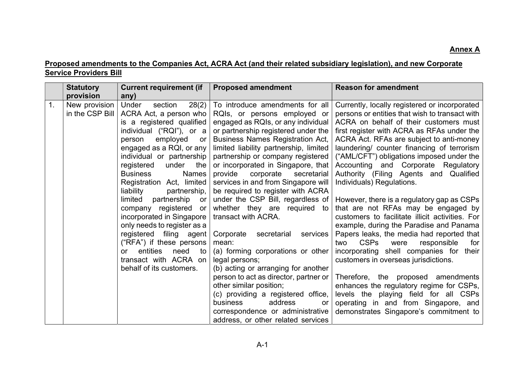## Proposed amendments to the Companies Act, ACRA Act (and their related subsidiary legislation), and new Corporate Service Providers Bill

|    | <b>Statutory</b>                 | <b>Current requirement (if</b>                                                                                                                                                                                                                                                                                                                                                        | <b>Proposed amendment</b>                                                                                                                                                                                                                                                                                                                                                                                                                                                                            | <b>Reason for amendment</b>                                                                                                                                                                                                                                                                                                                                                                                                                                                                                                       |
|----|----------------------------------|---------------------------------------------------------------------------------------------------------------------------------------------------------------------------------------------------------------------------------------------------------------------------------------------------------------------------------------------------------------------------------------|------------------------------------------------------------------------------------------------------------------------------------------------------------------------------------------------------------------------------------------------------------------------------------------------------------------------------------------------------------------------------------------------------------------------------------------------------------------------------------------------------|-----------------------------------------------------------------------------------------------------------------------------------------------------------------------------------------------------------------------------------------------------------------------------------------------------------------------------------------------------------------------------------------------------------------------------------------------------------------------------------------------------------------------------------|
|    | provision                        | any)                                                                                                                                                                                                                                                                                                                                                                                  |                                                                                                                                                                                                                                                                                                                                                                                                                                                                                                      |                                                                                                                                                                                                                                                                                                                                                                                                                                                                                                                                   |
| 1. | New provision<br>in the CSP Bill | 28(2)<br>section<br>Under<br>ACRA Act, a person who<br>is a registered qualified<br>individual ("RQI"), or a<br>employed<br>person<br>or<br>engaged as a RQI, or any<br>individual or partnership<br>registered<br>under<br>the<br><b>Business</b><br><b>Names</b><br>Registration Act, limited<br>liability<br>partnership,<br>limited<br>partnership<br>or<br>company registered or | To introduce amendments for all<br>RQIs, or persons employed or<br>engaged as RQIs, or any individual<br>or partnership registered under the<br><b>Business Names Registration Act,</b><br>limited liability partnership, limited<br>partnership or company registered<br>or incorporated in Singapore, that<br>provide<br>corporate<br>secretarial<br>services in and from Singapore will<br>be required to register with ACRA<br>under the CSP Bill, regardless of<br>whether they are required to | Currently, locally registered or incorporated<br>persons or entities that wish to transact with<br>ACRA on behalf of their customers must<br>first register with ACRA as RFAs under the<br>ACRA Act. RFAs are subject to anti-money<br>laundering/ counter financing of terrorism<br>("AML/CFT") obligations imposed under the<br>Accounting and Corporate Regulatory<br>Authority (Filing Agents and Qualified<br>Individuals) Regulations.<br>However, there is a regulatory gap as CSPs<br>that are not RFAs may be engaged by |
|    |                                  | incorporated in Singapore<br>only needs to register as a<br>registered filing agent<br>("RFA") if these persons<br>entities<br>need<br>to<br>or<br>transact with ACRA on<br>behalf of its customers.                                                                                                                                                                                  | transact with ACRA.<br>services<br>Corporate<br>secretarial<br>mean:<br>(a) forming corporations or other<br>legal persons;<br>(b) acting or arranging for another<br>person to act as director, partner or  <br>other similar position;<br>(c) providing a registered office,<br>address<br><b>business</b><br>or<br>correspondence or administrative<br>address, or other related services                                                                                                         | customers to facilitate illicit activities. For<br>example, during the Paradise and Panama<br>Papers leaks, the media had reported that<br><b>CSPs</b><br>were<br>responsible<br>two<br>for<br>incorporating shell companies for their<br>customers in overseas jurisdictions.<br>Therefore, the proposed amendments<br>enhances the regulatory regime for CSPs,<br>levels the playing field for all CSPs<br>operating in and from Singapore, and<br>demonstrates Singapore's commitment to                                       |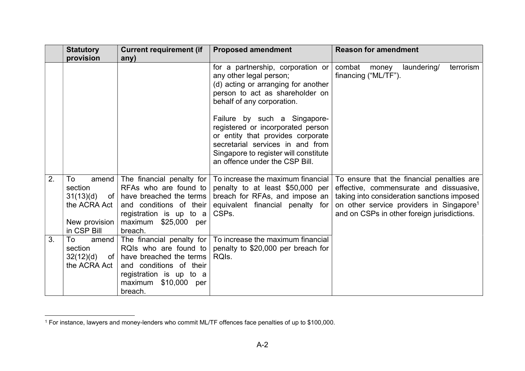|    | <b>Statutory</b><br>provision                                          | <b>Current requirement (if</b><br>any)                                                                                                                                                  | <b>Proposed amendment</b>                                                                                                                                                                                                                                                                                                                                                                     | <b>Reason for amendment</b>                                                                                                                                                                                                                 |
|----|------------------------------------------------------------------------|-----------------------------------------------------------------------------------------------------------------------------------------------------------------------------------------|-----------------------------------------------------------------------------------------------------------------------------------------------------------------------------------------------------------------------------------------------------------------------------------------------------------------------------------------------------------------------------------------------|---------------------------------------------------------------------------------------------------------------------------------------------------------------------------------------------------------------------------------------------|
|    |                                                                        |                                                                                                                                                                                         | for a partnership, corporation or<br>any other legal person;<br>(d) acting or arranging for another<br>person to act as shareholder on<br>behalf of any corporation.<br>Failure by such a Singapore-<br>registered or incorporated person<br>or entity that provides corporate<br>secretarial services in and from<br>Singapore to register will constitute<br>an offence under the CSP Bill. | combat money<br>laundering/<br>terrorism<br>financing ("ML/TF").                                                                                                                                                                            |
| 2. | To<br>amend<br>section<br>the ACRA Act<br>New provision<br>in CSP Bill | The financial penalty for<br>RFAs who are found to<br>$31(13)(d)$ of   have breached the terms<br>and conditions of their<br>registration is up to a<br>maximum \$25,000 per<br>breach. | To increase the maximum financial<br>penalty to at least \$50,000 per<br>breach for RFAs, and impose an<br>equivalent financial penalty for<br>CSPs.                                                                                                                                                                                                                                          | To ensure that the financial penalties are<br>effective, commensurate and dissuasive,<br>taking into consideration sanctions imposed<br>on other service providers in Singapore <sup>1</sup><br>and on CSPs in other foreign jurisdictions. |
| 3. | To<br>amend<br>section<br>32(12)(d)<br>the ACRA Act                    | The financial penalty for  <br>RQIs who are found to<br>of   have breached the terms<br>and conditions of their<br>registration is up to a<br>maximum \$10,000<br>per<br>breach.        | To increase the maximum financial<br>penalty to \$20,000 per breach for<br>RQIs.                                                                                                                                                                                                                                                                                                              |                                                                                                                                                                                                                                             |

<sup>1</sup> For instance, lawyers and money-lenders who commit ML/TF offences face penalties of up to \$100,000.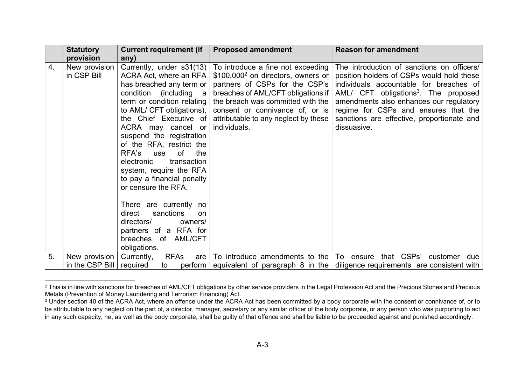|                  | <b>Statutory</b>             | <b>Current requirement (if</b>                                                                                                                                                                                                                                                                                                                                                                                                                                                                                                                                  | <b>Proposed amendment</b>                                                                                                                                                                                                                                                                   | <b>Reason for amendment</b>                                                                                                                                                                                                                                                                                                            |
|------------------|------------------------------|-----------------------------------------------------------------------------------------------------------------------------------------------------------------------------------------------------------------------------------------------------------------------------------------------------------------------------------------------------------------------------------------------------------------------------------------------------------------------------------------------------------------------------------------------------------------|---------------------------------------------------------------------------------------------------------------------------------------------------------------------------------------------------------------------------------------------------------------------------------------------|----------------------------------------------------------------------------------------------------------------------------------------------------------------------------------------------------------------------------------------------------------------------------------------------------------------------------------------|
|                  | provision                    | any)                                                                                                                                                                                                                                                                                                                                                                                                                                                                                                                                                            |                                                                                                                                                                                                                                                                                             |                                                                                                                                                                                                                                                                                                                                        |
| $\overline{4}$ . | New provision<br>in CSP Bill | Currently, under s31(13)<br>ACRA Act, where an RFA<br>has breached any term or<br>condition<br>(including a<br>term or condition relating<br>to AML/ CFT obligations),<br>the Chief Executive of<br>ACRA may cancel or<br>suspend the registration<br>of the RFA, restrict the<br>RFA's<br>of<br>the<br>use<br>transaction<br>electronic<br>system, require the RFA<br>to pay a financial penalty<br>or censure the RFA.<br>There are currently no<br>direct<br>sanctions<br><b>on</b><br>directors/<br>owners/<br>partners of a RFA for<br>breaches of AML/CFT | To introduce a fine not exceeding<br>\$100,000 <sup>2</sup> on directors, owners or<br>partners of CSPs for the CSP's<br>breaches of AML/CFT obligations if<br>the breach was committed with the<br>consent or connivance of, or is<br>attributable to any neglect by these<br>individuals. | The introduction of sanctions on officers/<br>position holders of CSPs would hold these<br>individuals accountable for breaches of<br>AML/ CFT obligations <sup>3</sup> . The proposed<br>amendments also enhances our regulatory<br>regime for CSPs and ensures that the<br>sanctions are effective, proportionate and<br>dissuasive. |
|                  |                              | obligations.                                                                                                                                                                                                                                                                                                                                                                                                                                                                                                                                                    |                                                                                                                                                                                                                                                                                             |                                                                                                                                                                                                                                                                                                                                        |
| 5.               | New provision                | <b>RFAs</b><br>Currently,<br>are                                                                                                                                                                                                                                                                                                                                                                                                                                                                                                                                | To introduce amendments to the                                                                                                                                                                                                                                                              | that CSPs'<br>To ensure<br>customer<br>due                                                                                                                                                                                                                                                                                             |
|                  | in the CSP Bill $ $          | required<br>perform<br>to                                                                                                                                                                                                                                                                                                                                                                                                                                                                                                                                       | equivalent of paragraph $8$ in the                                                                                                                                                                                                                                                          | diligence requirements are consistent with                                                                                                                                                                                                                                                                                             |

 $^2$  This is in line with sanctions for breaches of AML/CFT obligations by other service providers in the Legal Profession Act and the Precious Stones and Precious Metals (Prevention of Money Laundering and Terrorism Financing) Act.

 $^{\rm 3}$  Under section 40 of the ACRA Act, where an offence under the ACRA Act has been committed by a body corporate with the consent or connivance of, or to be attributable to any neglect on the part of, a director, manager, secretary or any similar officer of the body corporate, or any person who was purporting to act in any such capacity, he, as well as the body corporate, shall be guilty of that offence and shall be liable to be proceeded against and punished accordingly.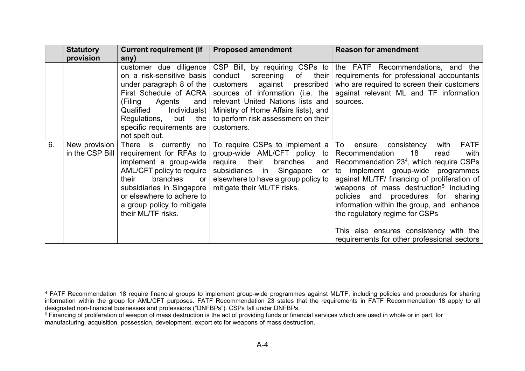|    | <b>Statutory</b>                 | <b>Current requirement (if</b>                                                                                                                                                                                                                   | <b>Proposed amendment</b>                                                                                                                                                                                                                                                              | <b>Reason for amendment</b>                                                                                                                                                                                                                                                                                                                                                                                                                                                                            |
|----|----------------------------------|--------------------------------------------------------------------------------------------------------------------------------------------------------------------------------------------------------------------------------------------------|----------------------------------------------------------------------------------------------------------------------------------------------------------------------------------------------------------------------------------------------------------------------------------------|--------------------------------------------------------------------------------------------------------------------------------------------------------------------------------------------------------------------------------------------------------------------------------------------------------------------------------------------------------------------------------------------------------------------------------------------------------------------------------------------------------|
|    | provision                        | any)                                                                                                                                                                                                                                             |                                                                                                                                                                                                                                                                                        |                                                                                                                                                                                                                                                                                                                                                                                                                                                                                                        |
|    |                                  | customer due diligence<br>on a risk-sensitive basis<br>under paragraph 8 of the<br>First Schedule of ACRA<br>(Filing<br>Agents<br>and<br>Qualified<br>Individuals)<br>but<br>Regulations,<br>the<br>specific requirements are<br>not spelt out.  | CSP Bill, by requiring CSPs to<br>conduct<br>screening<br>of<br>their $\vert$<br>against prescribed<br>customers<br>sources of information (i.e. the<br>relevant United Nations lists and<br>Ministry of Home Affairs lists), and<br>to perform risk assessment on their<br>customers. | the FATF Recommendations, and the<br>requirements for professional accountants<br>who are required to screen their customers<br>against relevant ML and TF information<br>sources.                                                                                                                                                                                                                                                                                                                     |
| 6. | New provision<br>in the CSP Bill | There is currently no<br>requirement for RFAs to<br>implement a group-wide<br>AML/CFT policy to require<br>branches<br>their<br>or<br>subsidiaries in Singapore<br>or elsewhere to adhere to<br>a group policy to mitigate<br>their ML/TF risks. | To require CSPs to implement $a \mid To$<br>group-wide AML/CFT policy to<br>their<br>require<br>branches<br>and $\vert$<br>subsidiaries in<br>Singapore<br>or <sub>1</sub><br>elsewhere to have a group policy to<br>mitigate their ML/TF risks.                                       | <b>FATF</b><br>consistency<br>with<br>ensure<br>18<br>Recommendation<br>read<br>with<br>Recommendation 23 <sup>4</sup> , which require CSPs<br>to implement group-wide programmes<br>against ML/TF/ financing of proliferation of<br>weapons of mass destruction <sup>5</sup> including<br>policies and procedures for sharing<br>information within the group, and enhance<br>the regulatory regime for CSPs<br>This also ensures consistency with the<br>requirements for other professional sectors |

<sup>4</sup> FATF Recommendation 18 require financial groups to implement group-wide programmes against ML/TF, including policies and procedures for sharing information within the group for AML/CFT purposes. FATF Recommendation 23 states that the requirements in FATF Recommendation 18 apply to all designated non-financial businesses and professions ("DNFBPs"). CSPs fall under DNFBPs.

 $^5$  Financing of proliferation of weapon of mass destruction is the act of providing funds or financial services which are used in whole or in part, for manufacturing, acquisition, possession, development, export etc for weapons of mass destruction.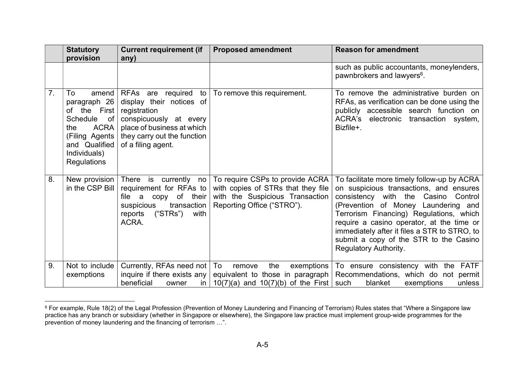|    | <b>Statutory</b><br>provision                                                                                                                                             | <b>Current requirement (if</b><br>any)                                                                                                                                        | <b>Proposed amendment</b>                                                                                                              | <b>Reason for amendment</b>                                                                                                                                                                                                                                                                                                                                                        |
|----|---------------------------------------------------------------------------------------------------------------------------------------------------------------------------|-------------------------------------------------------------------------------------------------------------------------------------------------------------------------------|----------------------------------------------------------------------------------------------------------------------------------------|------------------------------------------------------------------------------------------------------------------------------------------------------------------------------------------------------------------------------------------------------------------------------------------------------------------------------------------------------------------------------------|
|    |                                                                                                                                                                           |                                                                                                                                                                               |                                                                                                                                        | such as public accountants, moneylenders,<br>pawnbrokers and lawyers <sup>6</sup> .                                                                                                                                                                                                                                                                                                |
| 7. | To<br>amend<br>paragraph 26<br>the<br>First<br>of<br><b>Schedule</b><br>of<br><b>ACRA</b><br>the<br>(Filing Agents<br>and Qualified<br>Individuals)<br><b>Regulations</b> | RFAs are required to<br>display their notices of<br>registration<br>conspicuously at every<br>place of business at which<br>they carry out the function<br>of a filing agent. | To remove this requirement.                                                                                                            | To remove the administrative burden on<br>RFAs, as verification can be done using the<br>publicly accessible search function on<br>ACRA's electronic transaction system,<br>Bizfile+.                                                                                                                                                                                              |
| 8. | New provision<br>in the CSP Bill                                                                                                                                          | There is<br>currently<br>no<br>requirement for RFAs to<br>copy of their<br>file a<br>transaction<br>suspicious<br>("STRs")<br>with<br>reports<br>ACRA.                        | To require CSPs to provide ACRA<br>with copies of STRs that they file<br>with the Suspicious Transaction<br>Reporting Office ("STRO"). | To facilitate more timely follow-up by ACRA<br>on suspicious transactions, and ensures<br>consistency with the Casino<br>Control<br>(Prevention of Money Laundering and<br>Terrorism Financing) Regulations, which<br>require a casino operator, at the time or<br>immediately after it files a STR to STRO, to<br>submit a copy of the STR to the Casino<br>Regulatory Authority. |
| 9. | Not to include<br>exemptions                                                                                                                                              | Currently, RFAs need not  <br>inquire if there exists any<br>beneficial<br>owner<br>in.                                                                                       | To<br>the<br>exemptions<br>remove<br>equivalent to those in paragraph<br>$10(7)(a)$ and $10(7)(b)$ of the First such                   | <b>FATF</b><br>To ensure consistency with the<br>Recommendations, which do not permit<br>blanket<br>exemptions<br>unless                                                                                                                                                                                                                                                           |

 $^6$  For example, Rule 18(2) of the Legal Profession (Prevention of Money Laundering and Financing of Terrorism) Rules states that "Where a Singapore law practice has any branch or subsidiary (whether in Singapore or elsewhere), the Singapore law practice must implement group-wide programmes for the prevention of money laundering and the financing of terrorism …".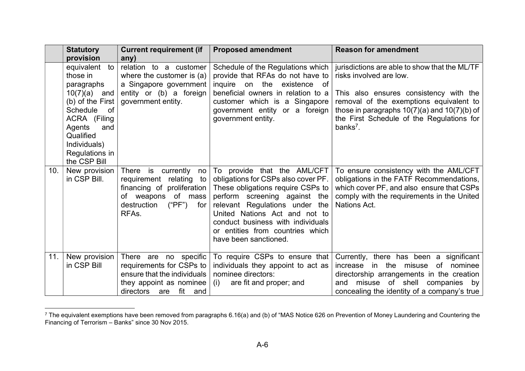|                 | <b>Statutory</b><br>provision                                                                                                                                                                          | <b>Current requirement (if</b><br>any)                                                                                                                             | <b>Proposed amendment</b>                                                                                                                                                                                                                                                                                     | <b>Reason for amendment</b>                                                                                                                                                                                                                                                            |
|-----------------|--------------------------------------------------------------------------------------------------------------------------------------------------------------------------------------------------------|--------------------------------------------------------------------------------------------------------------------------------------------------------------------|---------------------------------------------------------------------------------------------------------------------------------------------------------------------------------------------------------------------------------------------------------------------------------------------------------------|----------------------------------------------------------------------------------------------------------------------------------------------------------------------------------------------------------------------------------------------------------------------------------------|
|                 | to<br>equivalent<br>those in<br>paragraphs<br>$10(7)(a)$ and<br>(b) of the First $ $<br>Schedule<br>of<br>ACRA (Filing<br>Agents<br>and<br>Qualified<br>Individuals)<br>Regulations in<br>the CSP Bill | relation to a customer<br>where the customer is $(a)$<br>a Singapore government<br>entity or (b) a foreign<br>government entity.                                   | Schedule of the Regulations which<br>provide that RFAs do not have to<br>inquire on the existence of<br>beneficial owners in relation to a<br>customer which is a Singapore<br>government entity or a foreign<br>government entity.                                                                           | jurisdictions are able to show that the ML/TF<br>risks involved are low.<br>This also ensures consistency with the<br>removal of the exemptions equivalent to<br>those in paragraphs $10(7)(a)$ and $10(7)(b)$ of<br>the First Schedule of the Regulations for<br>banks <sup>7</sup> . |
| 10 <sub>1</sub> | New provision<br>in CSP Bill.                                                                                                                                                                          | There is currently<br>no<br>requirement relating<br>to<br>financing of proliferation<br>of mass<br>of weapons<br>$("PF")$ for<br>destruction<br>RFA <sub>s</sub> . | To provide that the AML/CFT<br>obligations for CSPs also cover PF.<br>These obligations require CSPs to<br>perform screening against the<br>relevant Regulations under the<br>United Nations Act and not to<br>conduct business with individuals<br>or entities from countries which<br>have been sanctioned. | To ensure consistency with the AML/CFT<br>obligations in the FATF Recommendations,<br>which cover PF, and also ensure that CSPs<br>comply with the requirements in the United<br>Nations Act.                                                                                          |
| 11.             | New provision<br>in CSP Bill                                                                                                                                                                           | There are no specific<br>requirements for CSPs to<br>ensure that the individuals<br>they appoint as nominee<br>directors<br>fit<br>and<br>are                      | To require CSPs to ensure that<br>individuals they appoint to act as<br>nominee directors:<br>are fit and proper; and<br>(i)                                                                                                                                                                                  | Currently, there has been a significant<br>increase in the misuse of nominee<br>directorship arrangements in the creation<br>and misuse of shell companies by<br>concealing the identity of a company's true                                                                           |

 $^7$  The equivalent exemptions have been removed from paragraphs 6.16(a) and (b) of "MAS Notice 626 on Prevention of Money Laundering and Countering the Financing of Terrorism – Banks" since 30 Nov 2015.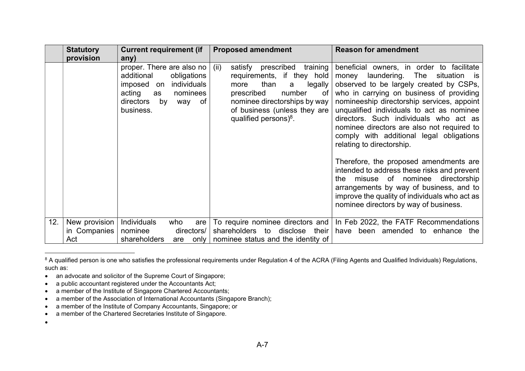|     | <b>Statutory</b><br>provision | <b>Current requirement (if</b>                                                                                                                                       | <b>Proposed amendment</b>                                                                                                                                                                                                          | <b>Reason for amendment</b>                                                                                                                                                                                                                                                                                                                                                                                                              |
|-----|-------------------------------|----------------------------------------------------------------------------------------------------------------------------------------------------------------------|------------------------------------------------------------------------------------------------------------------------------------------------------------------------------------------------------------------------------------|------------------------------------------------------------------------------------------------------------------------------------------------------------------------------------------------------------------------------------------------------------------------------------------------------------------------------------------------------------------------------------------------------------------------------------------|
|     |                               | any)<br>proper. There are also no<br>additional<br>obligations<br>individuals<br>imposed on<br>acting<br>nominees<br>as<br>directors<br>by<br>of<br>way<br>business. | prescribed<br>training<br>(ii)<br>satisfy<br>requirements, if they hold<br>than<br>legally<br>more<br>a<br>prescribed<br>number<br>0f<br>nominee directorships by way<br>of business (unless they are<br>qualified persons $)^8$ . | beneficial owners, in order to facilitate<br>laundering. The<br>money<br>situation is<br>observed to be largely created by CSPs,<br>who in carrying on business of providing<br>nomineeship directorship services, appoint<br>unqualified individuals to act as nominee<br>directors. Such individuals who act as<br>nominee directors are also not required to<br>comply with additional legal obligations<br>relating to directorship. |
|     |                               |                                                                                                                                                                      |                                                                                                                                                                                                                                    | Therefore, the proposed amendments are<br>intended to address these risks and prevent<br>misuse of nominee directorship<br>the<br>arrangements by way of business, and to<br>improve the quality of individuals who act as<br>nominee directors by way of business.                                                                                                                                                                      |
| 12. | New provision<br>in Companies | Individuals<br>who<br>are<br>nominee<br>directors/                                                                                                                   | To require nominee directors and<br>shareholders to disclose<br>their                                                                                                                                                              | In Feb 2022, the FATF Recommendations<br>have been amended to enhance the                                                                                                                                                                                                                                                                                                                                                                |
|     | Act                           | shareholders<br>only  <br>are                                                                                                                                        | nominee status and the identity of                                                                                                                                                                                                 |                                                                                                                                                                                                                                                                                                                                                                                                                                          |

 $^{\rm 8}$  A qualified person is one who satisfies the professional requirements under Regulation 4 of the ACRA (Filing Agents and Qualified Individuals) Regulations, such as:

- an advocate and solicitor of the Supreme Court of Singapore;
- a public accountant registered under the Accountants Act;
- a member of the Institute of Singapore Chartered Accountants;
- a member of the Association of International Accountants (Singapore Branch);
- a member of the Institute of Company Accountants, Singapore; or
- a member of the Chartered Secretaries Institute of Singapore.

 $\bullet$